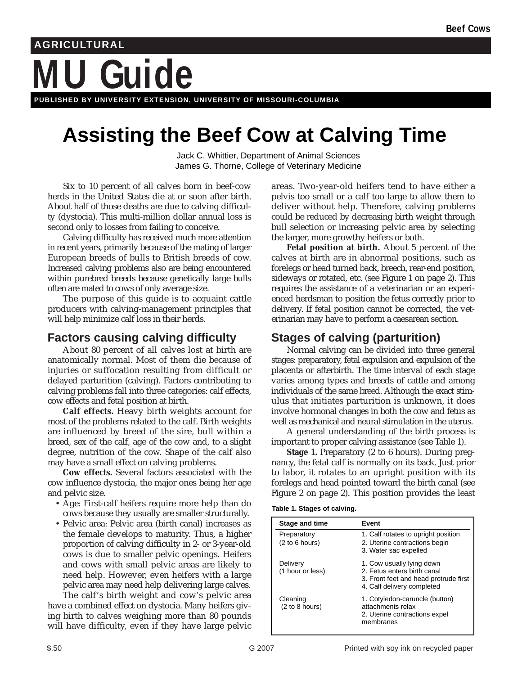# **Guide AGRICULTURAL**

**PUBLISHED BY UNIVERSITY EXTENSION, UNIVERSITY OF MISSOURI-COLUMBIA**

# **Assisting the Beef Cow at Calving Time**

Jack C. Whittier, Department of Animal Sciences James G. Thorne, College of Veterinary Medicine

Six to 10 percent of all calves born in beef-cow herds in the United States die at or soon after birth. About half of those deaths are due to calving difficulty (dystocia). This multi-million dollar annual loss is second only to losses from failing to conceive.

Calving difficulty has received much more attention in recent years, primarily because of the mating of larger European breeds of bulls to British breeds of cow. Increased calving problems also are being encountered within purebred breeds because genetically large bulls often are mated to cows of only average size.

The purpose of this guide is to acquaint cattle producers with calving-management principles that will help minimize calf loss in their herds.

### **Factors causing calving difficulty**

About 80 percent of all calves lost at birth are anatomically normal. Most of them die because of injuries or suffocation resulting from difficult or delayed parturition (calving). Factors contributing to calving problems fall into three categories: calf effects, cow effects and fetal position at birth.

**Calf effects.** Heavy birth weights account for most of the problems related to the calf. Birth weights are influenced by breed of the sire, bull within a breed, sex of the calf, age of the cow and, to a slight degree, nutrition of the cow. Shape of the calf also may have a small effect on calving problems.

**Cow effects.** Several factors associated with the cow influence dystocia, the major ones being her age and pelvic size.

- Age: First-calf heifers require more help than do cows because they usually are smaller structurally.
- Pelvic area: Pelvic area (birth canal) increases as the female develops to maturity. Thus, a higher proportion of calving difficulty in 2- or 3-year-old cows is due to smaller pelvic openings. Heifers and cows with small pelvic areas are likely to need help. However, even heifers with a large pelvic area may need help delivering large calves.

The calf's birth weight and cow's pelvic area have a combined effect on dystocia. Many heifers giving birth to calves weighing more than 80 pounds will have difficulty, even if they have large pelvic areas. Two-year-old heifers tend to have either a pelvis too small or a calf too large to allow them to deliver without help. Therefore, calving problems could be reduced by decreasing birth weight through bull selection or increasing pelvic area by selecting the larger, more growthy heifers or both.

**Fetal position at birth.** About 5 percent of the calves at birth are in abnormal positions, such as forelegs or head turned back, breech, rear-end position, sideways or rotated, etc. (see Figure 1 on page 2). This requires the assistance of a veterinarian or an experienced herdsman to position the fetus correctly prior to delivery. If fetal position cannot be corrected, the veterinarian may have to perform a caesarean section.

# **Stages of calving (parturition)**

Normal calving can be divided into three general stages: preparatory, fetal expulsion and expulsion of the placenta or afterbirth. The time interval of each stage varies among types and breeds of cattle and among individuals of the same breed. Although the exact stimulus that initiates parturition is unknown, it does involve hormonal changes in both the cow and fetus as well as mechanical and neural stimulation in the uterus.

A general understanding of the birth process is important to proper calving assistance (see Table 1).

**Stage 1.** Preparatory (2 to 6 hours). During pregnancy, the fetal calf is normally on its back. Just prior to labor, it rotates to an upright position with its forelegs and head pointed toward the birth canal (see Figure 2 on page 2). This position provides the least

| Table 1. Stages of calving. |  |  |  |
|-----------------------------|--|--|--|
|-----------------------------|--|--|--|

| Stage and time                | Event                                                                                                                           |
|-------------------------------|---------------------------------------------------------------------------------------------------------------------------------|
| Preparatory<br>(2 to 6 hours) | 1. Calf rotates to upright position<br>2. Uterine contractions begin<br>3. Water sac expelled                                   |
| Delivery<br>(1 hour or less)  | 1. Cow usually lying down<br>2. Fetus enters birth canal<br>3. Front feet and head protrude first<br>4. Calf delivery completed |
| Cleaning<br>(2 to 8 hours)    | 1. Cotyledon-caruncle (button)<br>attachments relax<br>2. Uterine contractions expel<br>membranes                               |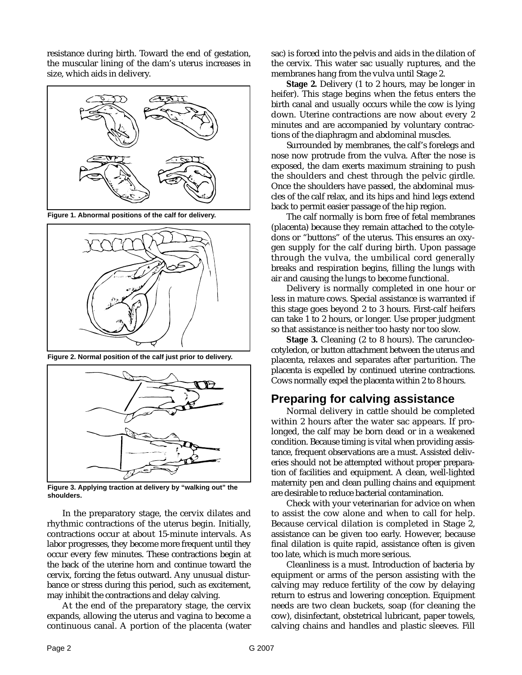resistance during birth. Toward the end of gestation, the muscular lining of the dam's uterus increases in size, which aids in delivery.



**Figure 1. Abnormal positions of the calf for delivery.**



**Figure 2. Normal position of the calf just prior to delivery.**



**Figure 3. Applying traction at delivery by "walking out" the shoulders.**

In the preparatory stage, the cervix dilates and rhythmic contractions of the uterus begin. Initially, contractions occur at about 15-minute intervals. As labor progresses, they become more frequent until they occur every few minutes. These contractions begin at the back of the uterine horn and continue toward the cervix, forcing the fetus outward. Any unusual disturbance or stress during this period, such as excitement, may inhibit the contractions and delay calving.

At the end of the preparatory stage, the cervix expands, allowing the uterus and vagina to become a continuous canal. A portion of the placenta (water

sac) is forced into the pelvis and aids in the dilation of the cervix. This water sac usually ruptures, and the membranes hang from the vulva until Stage 2.

**Stage 2.** Delivery (1 to 2 hours, may be longer in heifer). This stage begins when the fetus enters the birth canal and usually occurs while the cow is lying down. Uterine contractions are now about every 2 minutes and are accompanied by voluntary contractions of the diaphragm and abdominal muscles.

Surrounded by membranes, the calf's forelegs and nose now protrude from the vulva. After the nose is exposed, the dam exerts maximum straining to push the shoulders and chest through the pelvic girdle. Once the shoulders have passed, the abdominal muscles of the calf relax, and its hips and hind legs extend back to permit easier passage of the hip region.

The calf normally is born free of fetal membranes (placenta) because they remain attached to the cotyledons or "buttons" of the uterus. This ensures an oxygen supply for the calf during birth. Upon passage through the vulva, the umbilical cord generally breaks and respiration begins, filling the lungs with air and causing the lungs to become functional.

Delivery is normally completed in one hour or less in mature cows. Special assistance is warranted if this stage goes beyond 2 to 3 hours. First-calf heifers can take 1 to 2 hours, or longer. Use proper judgment so that assistance is neither too hasty nor too slow.

**Stage 3.** Cleaning (2 to 8 hours). The caruncleocotyledon, or button attachment between the uterus and placenta, relaxes and separates after parturition. The placenta is expelled by continued uterine contractions. Cows normally expel the placenta within 2 to 8 hours.

#### **Preparing for calving assistance**

Normal delivery in cattle should be completed within 2 hours after the water sac appears. If prolonged, the calf may be born dead or in a weakened condition. Because timing is vital when providing assistance, frequent observations are a must. Assisted deliveries should not be attempted without proper preparation of facilities and equipment. A clean, well-lighted maternity pen and clean pulling chains and equipment are desirable to reduce bacterial contamination.

Check with your veterinarian for advice on when to assist the cow alone and when to call for help. Because cervical dilation is completed in Stage 2, assistance can be given too early. However, because final dilation is quite rapid, assistance often is given too late, which is much more serious.

Cleanliness is a must. Introduction of bacteria by equipment or arms of the person assisting with the calving may reduce fertility of the cow by delaying return to estrus and lowering conception. Equipment needs are two clean buckets, soap (for cleaning the cow), disinfectant, obstetrical lubricant, paper towels, calving chains and handles and plastic sleeves. Fill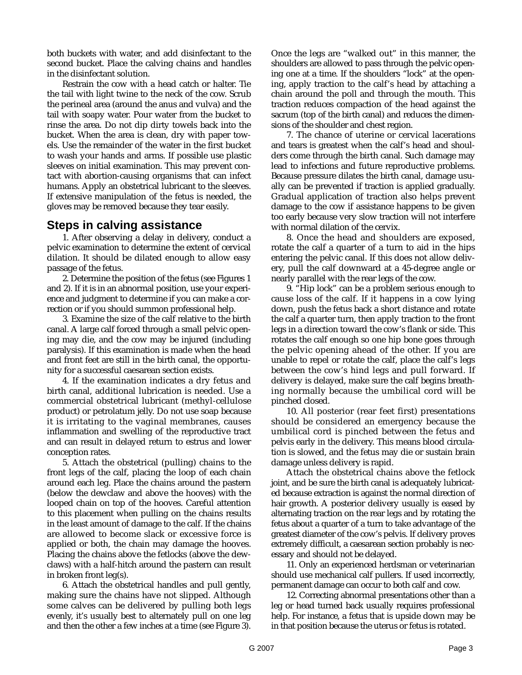both buckets with water, and add disinfectant to the second bucket. Place the calving chains and handles in the disinfectant solution.

Restrain the cow with a head catch or halter. Tie the tail with light twine to the neck of the cow. Scrub the perineal area (around the anus and vulva) and the tail with soapy water. Pour water from the bucket to rinse the area. Do not dip dirty towels back into the bucket. When the area is clean, dry with paper towels. Use the remainder of the water in the first bucket to wash your hands and arms. If possible use plastic sleeves on initial examination. This may prevent contact with abortion-causing organisms that can infect humans. Apply an obstetrical lubricant to the sleeves. If extensive manipulation of the fetus is needed, the gloves may be removed because they tear easily.

#### **Steps in calving assistance**

1. After observing a delay in delivery, conduct a pelvic examination to determine the extent of cervical dilation. It should be dilated enough to allow easy passage of the fetus.

2. Determine the position of the fetus (see Figures 1 and 2). If it is in an abnormal position, use your experience and judgment to determine if you can make a correction or if you should summon professional help.

3. Examine the size of the calf relative to the birth canal. A large calf forced through a small pelvic opening may die, and the cow may be injured (including paralysis). If this examination is made when the head and front feet are still in the birth canal, the opportunity for a successful caesarean section exists.

4. If the examination indicates a dry fetus and birth canal, additional lubrication is needed. Use a commercial obstetrical lubricant (methyl-cellulose product) or petrolatum jelly. Do not use soap because it is irritating to the vaginal membranes, causes inflammation and swelling of the reproductive tract and can result in delayed return to estrus and lower conception rates.

5. Attach the obstetrical (pulling) chains to the front legs of the calf, placing the loop of each chain around each leg. Place the chains around the pastern (below the dewclaw and above the hooves) with the looped chain on top of the hooves. Careful attention to this placement when pulling on the chains results in the least amount of damage to the calf. If the chains are allowed to become slack or excessive force is applied or both, the chain may damage the hooves. Placing the chains above the fetlocks (above the dewclaws) with a half-hitch around the pastern can result in broken front leg(s).

6. Attach the obstetrical handles and pull gently, making sure the chains have not slipped. Although some calves can be delivered by pulling both legs evenly, it's usually best to alternately pull on one leg and then the other a few inches at a time (see Figure 3).

Once the legs are "walked out" in this manner, the shoulders are allowed to pass through the pelvic opening one at a time. If the shoulders "lock" at the opening, apply traction to the calf's head by attaching a chain around the poll and through the mouth. This traction reduces compaction of the head against the sacrum (top of the birth canal) and reduces the dimensions of the shoulder and chest region.

7. The chance of uterine or cervical lacerations and tears is greatest when the calf's head and shoulders come through the birth canal. Such damage may lead to infections and future reproductive problems. Because pressure dilates the birth canal, damage usually can be prevented if traction is applied gradually. Gradual application of traction also helps prevent damage to the cow if assistance happens to be given too early because very slow traction will not interfere with normal dilation of the cervix.

8. Once the head and shoulders are exposed, rotate the calf a quarter of a turn to aid in the hips entering the pelvic canal. If this does not allow delivery, pull the calf downward at a 45-degree angle or nearly parallel with the rear legs of the cow.

9. "Hip lock" can be a problem serious enough to cause loss of the calf. If it happens in a cow lying down, push the fetus back a short distance and rotate the calf a quarter turn, then apply traction to the front legs in a direction toward the cow's flank or side. This rotates the calf enough so one hip bone goes through the pelvic opening ahead of the other. If you are unable to repel or rotate the calf, place the calf's legs between the cow's hind legs and pull forward. If delivery is delayed, make sure the calf begins breathing normally because the umbilical cord will be pinched closed.

10. All posterior (rear feet first) presentations should be considered an emergency because the umbilical cord is pinched between the fetus and pelvis early in the delivery. This means blood circulation is slowed, and the fetus may die or sustain brain damage unless delivery is rapid.

Attach the obstetrical chains above the fetlock joint, and be sure the birth canal is adequately lubricated because extraction is against the normal direction of hair growth. A posterior delivery usually is eased by alternating traction on the rear legs and by rotating the fetus about a quarter of a turn to take advantage of the greatest diameter of the cow's pelvis. If delivery proves extremely difficult, a caesarean section probably is necessary and should not be delayed.

11. Only an experienced herdsman or veterinarian should use mechanical calf pullers. If used incorrectly, permanent damage can occur to both calf and cow.

12. Correcting abnormal presentations other than a leg or head turned back usually requires professional help. For instance, a fetus that is upside down may be in that position because the uterus or fetus is rotated.